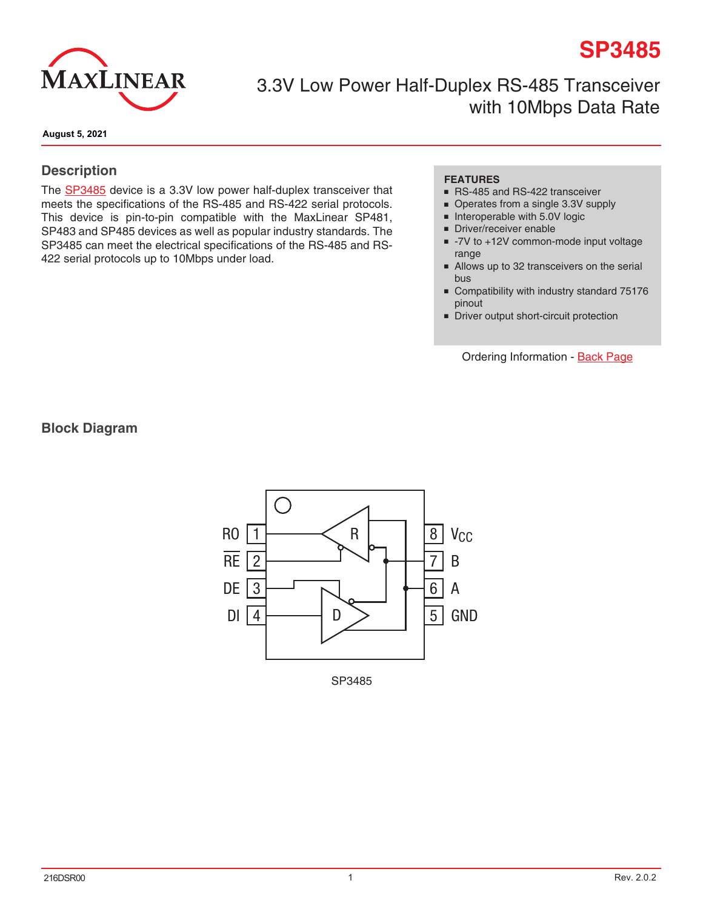# **SP3485**



3.3V Low Power Half-Duplex RS-485 Transceiver with 10Mbps Data Rate

**August 5, 2021**

#### **Description**

The **[SP3485](http://www.exar.com/SP3485)** device is a 3.3V low power half-duplex transceiver that meets the specifications of the RS-485 and RS-422 serial protocols. This device is pin-to-pin compatible with the MaxLinear SP481, SP483 and SP485 devices as well as popular industry standards. The SP3485 can meet the electrical specifications of the RS-485 and RS-422 serial protocols up to 10Mbps under load.

#### **FEATURES**

- RS-485 and RS-422 transceiver
- Operates from a single 3.3V supply
- Interoperable with 5.0V logic
- Driver/receiver enable
- -7V to +12V common-mode input voltage range
- Allows up to 32 transceivers on the serial bus
- Compatibility with industry standard 75176 pinout
- Driver output short-circuit protection

Ordering Information - [Back Page](#page-8-0)

**Block Diagram**



SP3485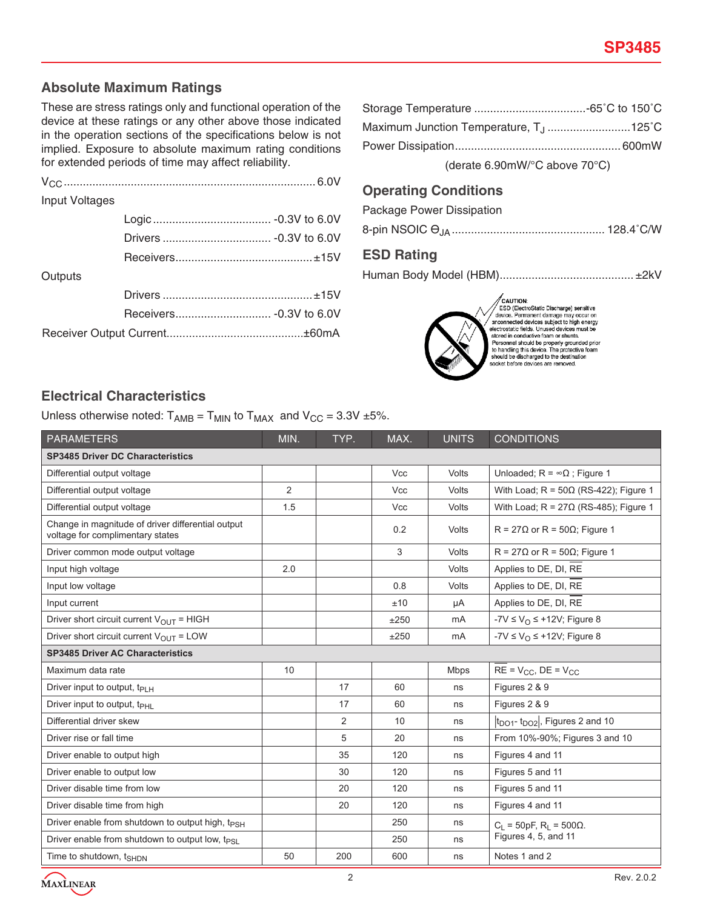# **Absolute Maximum Ratings**

These are stress ratings only and functional operation of the device at these ratings or any other above those indicated in the operation sections of the specifications below is not implied. Exposure to absolute maximum rating conditions for extended periods of time may affect reliability.

| Input Voltages |  |
|----------------|--|
|                |  |
|                |  |
|                |  |
| Outputs        |  |
|                |  |
|                |  |
|                |  |

| Maximum Junction Temperature, T <sub>.J</sub> 125°C |  |
|-----------------------------------------------------|--|
|                                                     |  |
| (derate 6.90mW/ $\degree$ C above 70 $\degree$ C)   |  |

### **Operating Conditions**

Package Power Dissipation

|--|--|--|--|

# **ESD Rating**

Human Body Model (HBM).......................................... ±2kV



 $\begin{tabular}{l|c|} \hline \textbf{CAUTION:} \\ \hline \textbf{ESD (ElectroStatic Charactered area) sensitivity on two.} \\ \hline dovico.~Pamanent damage may occur on a  
mononected devices subject to high energy electrostatic fields. Unused devices must be  
stored in conducting this device, and the  
Desromel should be properly grounded prior  
should be discharged to the destination  
socket before devices are removed.\\ \hline \end{tabular}$ 

# **Electrical Characteristics**

Unless otherwise noted:  $T_{AMB} = T_{MIN}$  to  $T_{MAX}$  and  $V_{CC} = 3.3V \pm 5\%$ .

| <b>PARAMETERS</b>                                                                     | MIN.           | TYP. | MAX.       | <b>UNITS</b> | <b>CONDITIONS</b>                                        |  |
|---------------------------------------------------------------------------------------|----------------|------|------------|--------------|----------------------------------------------------------|--|
| <b>SP3485 Driver DC Characteristics</b>                                               |                |      |            |              |                                                          |  |
| Differential output voltage                                                           |                |      | <b>Vcc</b> | Volts        | Unloaded; $R = \infty \Omega$ ; Figure 1                 |  |
| Differential output voltage                                                           | $\overline{2}$ |      | <b>Vcc</b> | Volts        | With Load; $R = 50\Omega$ (RS-422); Figure 1             |  |
| Differential output voltage                                                           | 1.5            |      | <b>Vcc</b> | Volts        | With Load; $R = 27\Omega$ (RS-485); Figure 1             |  |
| Change in magnitude of driver differential output<br>voltage for complimentary states |                |      | 0.2        | Volts        | $R = 27\Omega$ or $R = 50\Omega$ ; Figure 1              |  |
| Driver common mode output voltage                                                     |                |      | 3          | Volts        | $R = 27\Omega$ or $R = 50\Omega$ ; Figure 1              |  |
| Input high voltage                                                                    | 2.0            |      |            | Volts        | Applies to DE, DI, RE                                    |  |
| Input low voltage                                                                     |                |      | 0.8        | Volts        | Applies to DE, DI, RE                                    |  |
| Input current                                                                         |                |      | ±10        | μA           | Applies to DE, DI, RE                                    |  |
| Driver short circuit current $V_{\text{OUT}}$ = HIGH                                  |                |      | ±250       | mA           | $-7V \le V_{\Omega} \le +12V$ ; Figure 8                 |  |
| Driver short circuit current $V_{OUT} = LOW$                                          |                |      | ±250       | mA           | -7V $\leq$ V <sub>O</sub> $\leq$ +12V; Figure 8          |  |
| <b>SP3485 Driver AC Characteristics</b>                                               |                |      |            |              |                                                          |  |
| Maximum data rate                                                                     | 10             |      |            | <b>Mbps</b>  | $RE = V_{CC}$ , $DE = V_{CC}$                            |  |
| Driver input to output, t <sub>PLH</sub>                                              |                | 17   | 60         | ns           | Figures 2 & 9                                            |  |
| Driver input to output, t <sub>PHL</sub>                                              |                | 17   | 60         | ns           | Figures 2 & 9                                            |  |
| Differential driver skew                                                              |                | 2    | 10         | ns           | $ t_{\text{DO1}}$ - $t_{\text{DO2}} $ , Figures 2 and 10 |  |
| Driver rise or fall time                                                              |                | 5    | 20         | ns           | From 10%-90%; Figures 3 and 10                           |  |
| Driver enable to output high                                                          |                | 35   | 120        | ns           | Figures 4 and 11                                         |  |
| Driver enable to output low                                                           |                | 30   | 120        | ns           | Figures 5 and 11                                         |  |
| Driver disable time from low                                                          |                | 20   | 120        | ns           | Figures 5 and 11                                         |  |
| Driver disable time from high                                                         |                | 20   | 120        | ns           | Figures 4 and 11                                         |  |
| Driver enable from shutdown to output high, t <sub>PSH</sub>                          |                |      | 250        | ns           | $C_L$ = 50pF, R <sub>L</sub> = 500Ω.                     |  |
| Driver enable from shutdown to output low, tpsi                                       |                |      | 250        | ns           | Figures 4, 5, and 11                                     |  |
| Time to shutdown, t <sub>SHDN</sub>                                                   | 50             | 200  | 600        | ns           | Notes 1 and 2                                            |  |

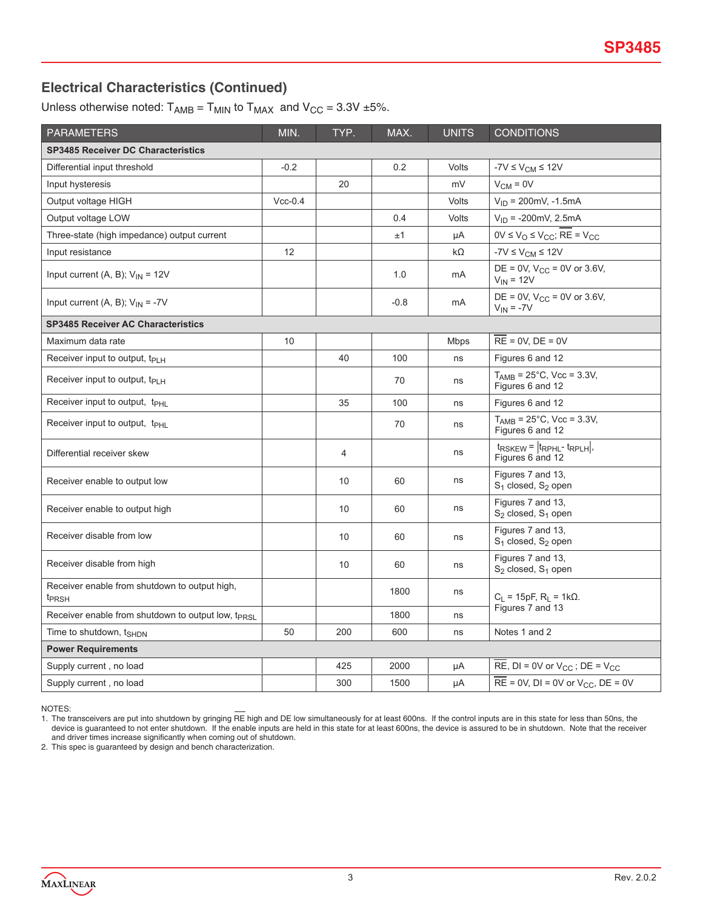# **Electrical Characteristics (Continued)**

Unless otherwise noted:  $T_{AMB} = T_{MIN}$  to  $T_{MAX}$  and  $V_{CC} = 3.3V \pm 5\%$ .

| <b>PARAMETERS</b>                                                  | MIN.      | TYP.           | MAX.   | <b>UNITS</b> | <b>CONDITIONS</b>                                                 |  |
|--------------------------------------------------------------------|-----------|----------------|--------|--------------|-------------------------------------------------------------------|--|
| <b>SP3485 Receiver DC Characteristics</b>                          |           |                |        |              |                                                                   |  |
| Differential input threshold                                       | $-0.2$    |                | 0.2    | Volts        | $-7V \leq V_{CM} \leq 12V$                                        |  |
| Input hysteresis                                                   |           | 20             |        | mV           | $V_{CM} = 0V$                                                     |  |
| Output voltage HIGH                                                | $Vcc-0.4$ |                |        | Volts        | $V_{\text{ID}}$ = 200mV, -1.5mA                                   |  |
| Output voltage LOW                                                 |           |                | 0.4    | <b>Volts</b> | $V_{ID} = -200$ mV, 2.5mA                                         |  |
| Three-state (high impedance) output current                        |           |                | ±1     | μA           | $0V \le V_O \le V_{CC}$ ; RE = $V_{CC}$                           |  |
| Input resistance                                                   | 12        |                |        | $k\Omega$    | $-7V \leq V_{CM} \leq 12V$                                        |  |
| Input current (A, B); $V_{IN}$ = 12V                               |           |                | 1.0    | mA           | DE = 0V, $V_{CC}$ = 0V or 3.6V,<br>$V_{IN}$ = 12V                 |  |
| Input current (A, B); $V_{IN} = -7V$                               |           |                | $-0.8$ | mA           | $DE = 0V$ , $V_{CC} = 0V$ or 3.6V,<br>$V_{IN} = -7V$              |  |
| <b>SP3485 Receiver AC Characteristics</b>                          |           |                |        |              |                                                                   |  |
| Maximum data rate                                                  | 10        |                |        | <b>Mbps</b>  | $RE = 0V$ , $DE = 0V$                                             |  |
| Receiver input to output, $t_{PIH}$                                |           | 40             | 100    | ns           | Figures 6 and 12                                                  |  |
| Receiver input to output, $t_{PIH}$                                |           |                | 70     | ns           | $T_{AMB} = 25^{\circ}$ C, Vcc = 3.3V,<br>Figures 6 and 12         |  |
| Receiver input to output, t <sub>PHL</sub>                         |           | 35             | 100    | ns           | Figures 6 and 12                                                  |  |
| Receiver input to output, t <sub>PHL</sub>                         |           |                | 70     | ns           | $T_{AMB} = 25^{\circ}$ C, Vcc = 3.3V,<br>Figures 6 and 12         |  |
| Differential receiver skew                                         |           | $\overline{4}$ |        | ns           | $t_{RSKEW} =  t_{RPHL} - t_{RPLH} $<br>Figures 6 and 12           |  |
| Receiver enable to output low                                      |           | 10             | 60     | ns           | Figures 7 and 13,<br>$S_1$ closed, $S_2$ open                     |  |
| Receiver enable to output high                                     |           | 10             | 60     | ns           | Figures 7 and 13,<br>$S_2$ closed, $S_1$ open                     |  |
| Receiver disable from low                                          |           | 10             | 60     | ns           | Figures 7 and 13.<br>$S_1$ closed, $S_2$ open                     |  |
| Receiver disable from high                                         |           | 10             | 60     | ns           | Figures 7 and 13.<br>$S_2$ closed, $S_1$ open                     |  |
| Receiver enable from shutdown to output high,<br>t <sub>PRSH</sub> |           |                | 1800   | ns           | $C_L$ = 15pF, R <sub>L</sub> = 1kΩ.                               |  |
| Receiver enable from shutdown to output low, t <sub>PRSL</sub>     |           |                | 1800   | ns           | Figures 7 and 13                                                  |  |
| Time to shutdown, t <sub>SHDN</sub>                                | 50        | 200            | 600    | ns           | Notes 1 and 2                                                     |  |
| <b>Power Requirements</b>                                          |           |                |        |              |                                                                   |  |
| Supply current, no load                                            |           | 425            | 2000   | μA           | RE, $DI = 0V$ or $V_{CC}$ ; $DE = V_{CC}$                         |  |
| Supply current, no load                                            |           | 300            | 1500   | μA           | $\overline{\text{RE}}$ = 0V, DI = 0V or V <sub>CC</sub> , DE = 0V |  |

NOTES:

1. The transceivers are put into shutdown by gringing RE high and DE low simultaneously for at least 600ns. If the control inputs are in this state for less than 50ns, the device is guaranteed to not enter shutdown. If the enable inputs are held in this state for at least 600ns, the device is assured to be in shutdown. Note that the receiver and driver times increase significantly when coming out of shutdown.

2. This spec is guaranteed by design and bench characterization.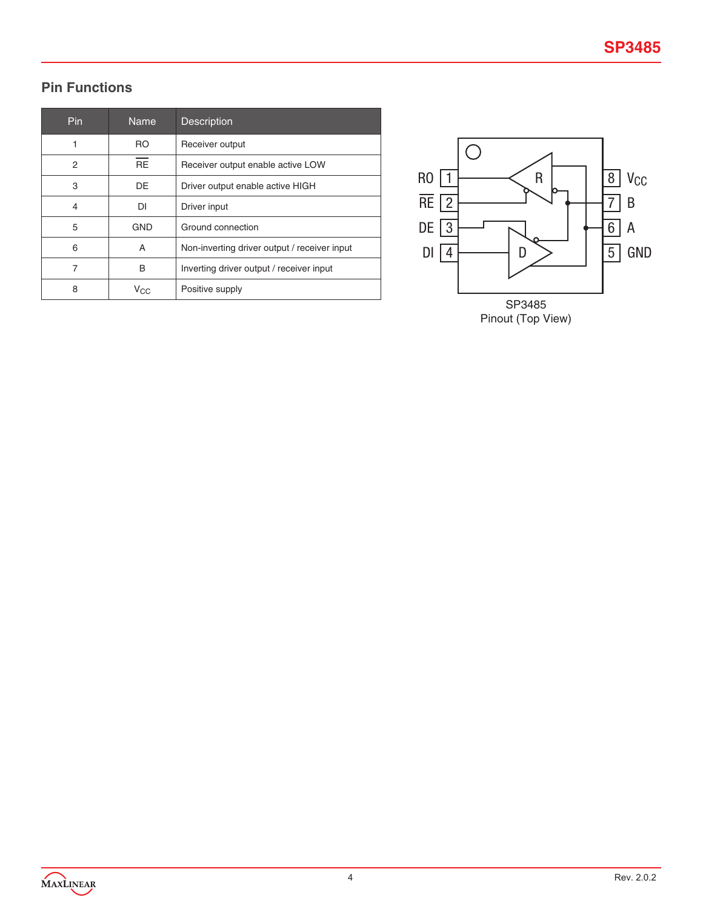# **Pin Functions**

| Pin | <b>Name</b> | <b>Description</b>                           |
|-----|-------------|----------------------------------------------|
|     | RO.         | Receiver output                              |
| 2   | <b>RE</b>   | Receiver output enable active LOW            |
| 3   | DE          | Driver output enable active HIGH             |
| 4   | DI          | Driver input                                 |
| 5   | <b>GND</b>  | Ground connection                            |
| 6   | A           | Non-inverting driver output / receiver input |
| 7   | B           | Inverting driver output / receiver input     |
| 8   | $V_{CC}$    | Positive supply                              |



Pinout (Top View)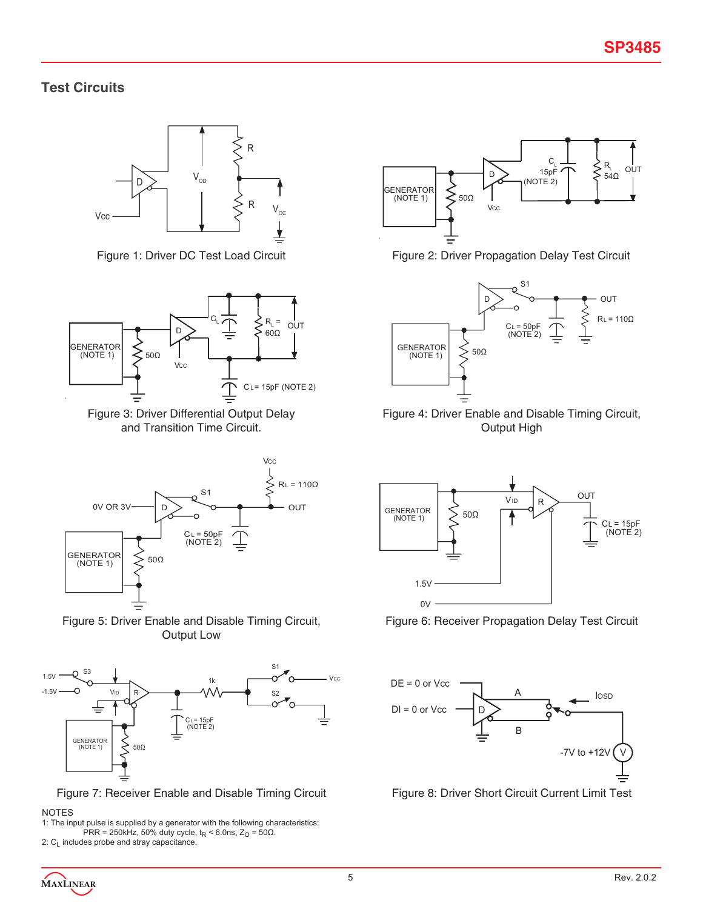# **Test Circuits**





Figure 3: Driver Differential Output Delay and Transition Time Circuit.







Figure 7: Receiver Enable and Disable Timing Circuit Figure 8: Driver Short Circuit Current Limit Test

#### NOTES

1: The input pulse is supplied by a generator with the following characteristics: PRR = 250kHz, 50% duty cycle,  $t_R$  < 6.0ns,  $Z_O$  = 50Ω. 2: C<sub>L</sub> includes probe and stray capacitance.



Figure 1: Driver DC Test Load Circuit Figure 2: Driver Propagation Delay Test Circuit



Figure 4: Driver Enable and Disable Timing Circuit, Output High



Figure 6: Receiver Propagation Delay Test Circuit



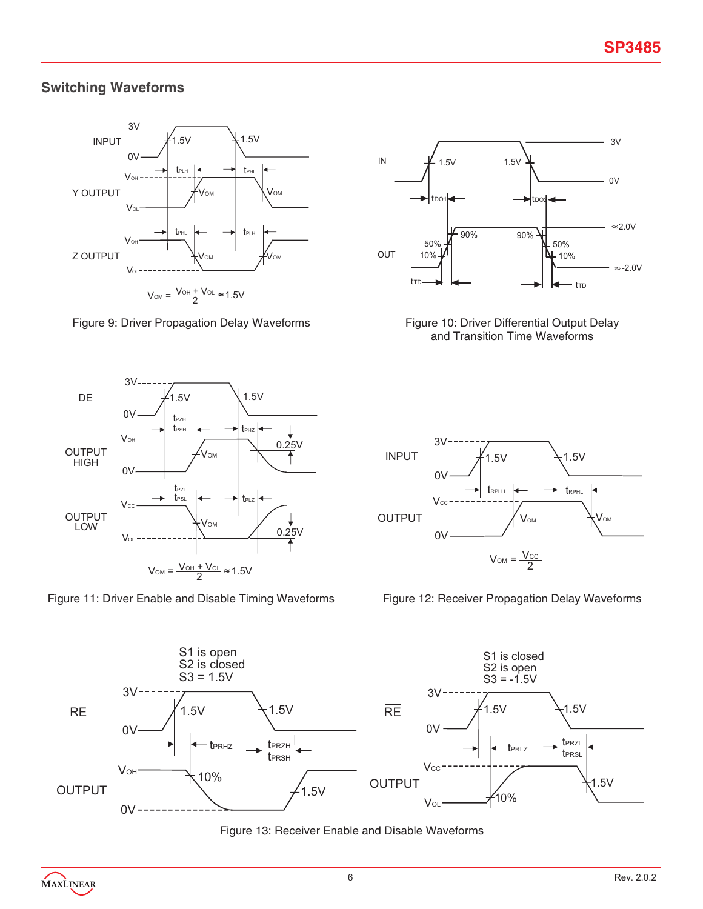# **Switching Waveforms**



Figure 9: Driver Propagation Delay Waveforms Figure 10: Driver Differential Output Delay







and Transition Time Waveforms







Figure 13: Receiver Enable and Disable Waveforms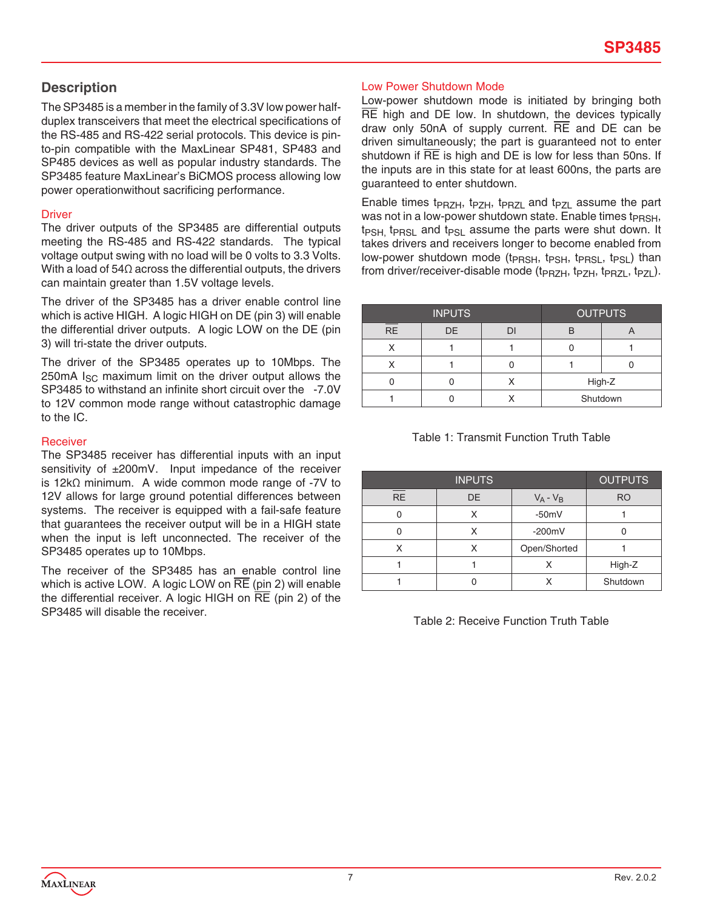# **Description**

The SP3485 is a member in the family of 3.3V low power halfduplex transceivers that meet the electrical specifications of the RS-485 and RS-422 serial protocols. This device is pinto-pin compatible with the MaxLinear SP481, SP483 and SP485 devices as well as popular industry standards. The SP3485 feature MaxLinear's BiCMOS process allowing low power operationwithout sacrificing performance.

#### **Driver**

The driver outputs of the SP3485 are differential outputs meeting the RS-485 and RS-422 standards. The typical voltage output swing with no load will be 0 volts to 3.3 Volts. With a load of 54Ω across the differential outputs, the drivers can maintain greater than 1.5V voltage levels.

The driver of the SP3485 has a driver enable control line which is active HIGH. A logic HIGH on DE (pin 3) will enable the differential driver outputs. A logic LOW on the DE (pin 3) will tri-state the driver outputs.

The driver of the SP3485 operates up to 10Mbps. The 250mA  $I_{SC}$  maximum limit on the driver output allows the SP3485 to withstand an infinite short circuit over the -7.0V to 12V common mode range without catastrophic damage to the IC.

#### Receiver

The SP3485 receiver has differential inputs with an input sensitivity of ±200mV. Input impedance of the receiver is 12kΩ minimum. A wide common mode range of -7V to 12V allows for large ground potential differences between systems. The receiver is equipped with a fail-safe feature that guarantees the receiver output will be in a HIGH state when the input is left unconnected. The receiver of the SP3485 operates up to 10Mbps.

The receiver of the SP3485 has an enable control line which is active LOW. A logic LOW on  $\overline{RE}$  (pin 2) will enable the differential receiver. A logic HIGH on  $\overline{RE}$  (pin 2) of the SP3485 will disable the receiver.

#### Low Power Shutdown Mode

Low-power shutdown mode is initiated by bringing both RE high and DE low. In shutdown, the devices typically draw only 50nA of supply current.  $\overline{RE}$  and  $\overline{DE}$  can be driven simultaneously; the part is guaranteed not to enter shutdown if RE is high and DE is low for less than 50ns. If the inputs are in this state for at least 600ns, the parts are guaranteed to enter shutdown.

Enable times t<sub>PRZH</sub>, t<sub>PZH</sub>, t<sub>PRZL</sub> and t<sub>PZL</sub> assume the part was not in a low-power shutdown state. Enable times t<sub>PRSH</sub>,  $t_{PSH}$ , t<sub>PRSL</sub> and  $t_{PSL}$  assume the parts were shut down. It takes drivers and receivers longer to become enabled from low-power shutdown mode (t<sub>PRSH</sub>, t<sub>PSH</sub>, t<sub>PRSL</sub>, t<sub>PSL</sub>) than from driver/receiver-disable mode (t<sub>PRZH</sub>, t<sub>PZH</sub>, t<sub>PRZL</sub>, t<sub>PZL</sub>).

| <b>INPUTS</b> |    |  | <b>OUTPUTS</b> |  |
|---------------|----|--|----------------|--|
| <b>RE</b>     | DE |  |                |  |
|               |    |  |                |  |
|               |    |  |                |  |
|               |    |  | High-Z         |  |
|               |    |  | Shutdown       |  |

| Table 1: Transmit Function Truth Table |  |
|----------------------------------------|--|
|----------------------------------------|--|

| <b>INPUTS</b> |    |              | <b>OUTPUTS</b> |
|---------------|----|--------------|----------------|
| <b>RE</b>     | DE | $V_A - V_B$  | <b>RO</b>      |
|               | X  | $-50mV$      |                |
|               | x  | $-200mV$     |                |
| x             | Χ  | Open/Shorted |                |
|               |    | Χ            | High-Z         |
|               |    |              | Shutdown       |

Table 2: Receive Function Truth Table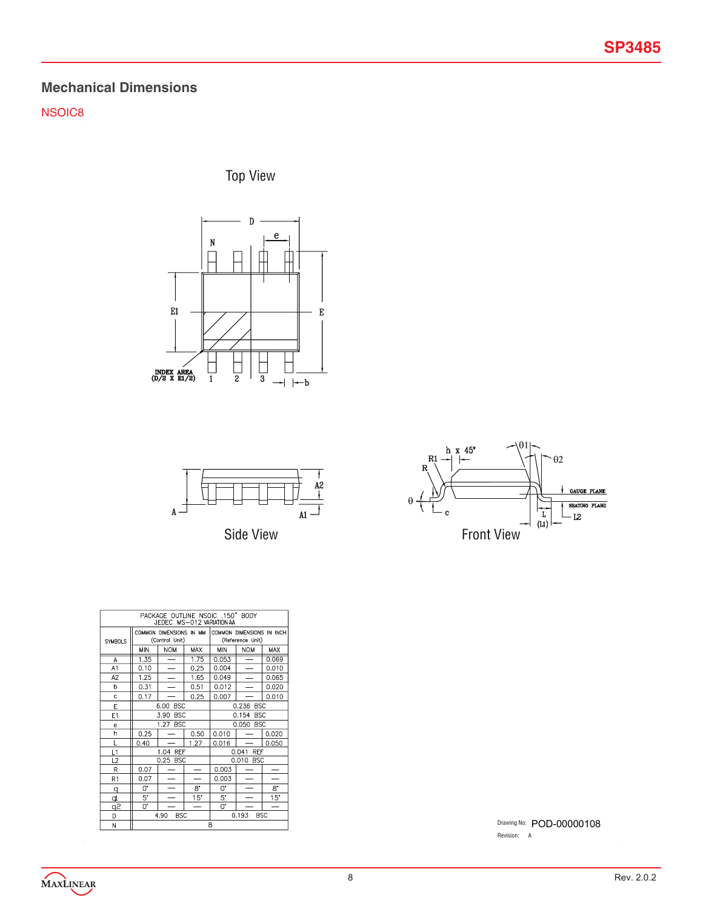# **Mechanical Dimensions**

NSOIC8

Top View







| PACKAGE OUTLINE NSOIC .150" BODY<br>JEDEC MS-012 VARIATION AA |                                           |                          |                          |                                               |                          |            |
|---------------------------------------------------------------|-------------------------------------------|--------------------------|--------------------------|-----------------------------------------------|--------------------------|------------|
| <b>SYMBOLS</b>                                                | COMMON DIMENSIONS IN MM<br>(Control Unit) |                          |                          | COMMON DIMENSIONS IN INCH<br>(Reference Unit) |                          |            |
|                                                               | MIN                                       | <b>NOM</b>               | <b>MAX</b>               | <b>MIN</b>                                    | <b>NOM</b>               | <b>MAX</b> |
| A                                                             | $\overline{1.35}$                         | —                        | 1.75                     | 0.053                                         | $\overline{\phantom{0}}$ | 0.069      |
| A1                                                            | 0.10                                      | $\overline{\phantom{0}}$ | 0.25                     | 0.004                                         |                          | 0.010      |
| A <sub>2</sub>                                                | 1.25                                      | $\overline{\phantom{0}}$ | 1.65                     | 0.049                                         |                          | 0.065      |
| h                                                             | 0.31                                      | $\overline{\phantom{0}}$ | 0.51                     | 0.012                                         |                          | 0.020      |
| c                                                             | 0.17                                      |                          | 0.25                     | 0.007                                         |                          | 0.010      |
| E                                                             | 6.00<br><b>BSC</b>                        |                          |                          | 0.236 BSC                                     |                          |            |
| E1                                                            |                                           | 3.90<br><b>BSC</b>       |                          | 0.154<br><b>BSC</b>                           |                          |            |
| e                                                             |                                           | 1.27 BSC                 |                          | 0.050 BSC                                     |                          |            |
| h                                                             | 0.25                                      |                          | 0.50                     | 0.010                                         |                          | 0.020      |
| L                                                             | 0.40                                      |                          | 1.27                     | 0.016                                         |                          | 0.050      |
| L1                                                            |                                           | 1.04 REF                 |                          |                                               | 0.041 REF                |            |
| L2                                                            |                                           | 0.25 BSC                 |                          |                                               | 0.010 BSC                |            |
| R                                                             | 0.07                                      |                          | $\overline{\phantom{0}}$ | 0.003                                         |                          |            |
| R <sub>1</sub>                                                | 0.07                                      |                          |                          | 0.003                                         |                          |            |
| q                                                             | 0.                                        | $\overline{\phantom{0}}$ | 8.                       | 0.                                            |                          | 8.         |
| ₫                                                             | 5.                                        |                          | 15"                      | 5'                                            |                          | 15"        |
| ڇو                                                            | 0.                                        |                          | —                        | O*                                            |                          |            |
| D                                                             | 4.90<br><b>BSC</b>                        |                          |                          |                                               | <b>BSC</b><br>0.193      |            |
| N                                                             | R                                         |                          |                          |                                               |                          |            |

Drawing No: POD-00000108 Revision: A

MAXLINEAR